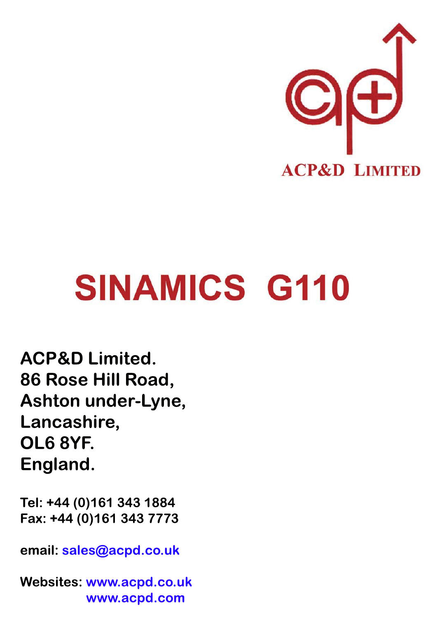

**ACP&D Limited.** 86 Rose Hill Road, Ashton under-Lyne, Lancashire, OL6 8YF. England.

Tel: +44 (0)161 343 1884 Fax: +44 (0)161 343 7773

email: sales@acpd.co.uk

**Websites: www.acpd.co.uk** www.acpd.com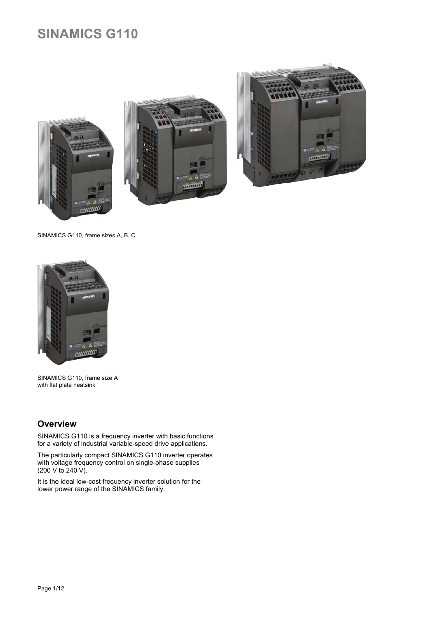





SINAMICS G110, frame sizes A, B, C



SINAMICS G110, frame size A with flat plate heatsink

# **Overview**

SINAMICS G110 is a frequency inverter with basic functions for a variety of industrial variable-speed drive applications.

The particularly compact SINAMICS G110 inverter operates with voltage frequency control on single-phase supplies (200 V to 240 V).

It is the ideal low-cost frequency inverter solution for the lower power range of the SINAMICS family.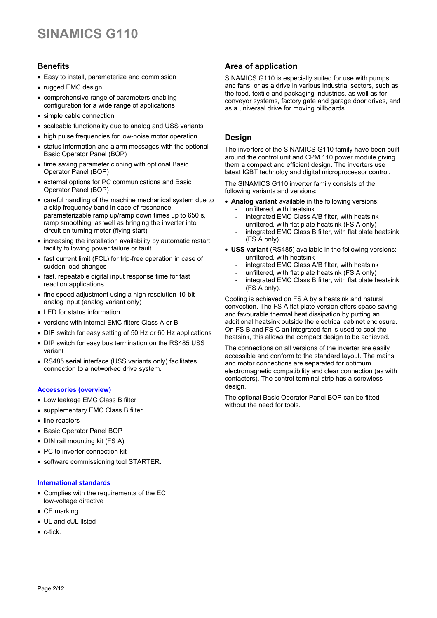# **Benefits**

- Easy to install, parameterize and commission
- rugged EMC design
- comprehensive range of parameters enabling configuration for a wide range of applications
- simple cable connection
- scaleable functionality due to analog and USS variants
- high pulse frequencies for low-noise motor operation
- status information and alarm messages with the optional Basic Operator Panel (BOP)
- time saving parameter cloning with optional Basic Operator Panel (BOP)
- external options for PC communications and Basic Operator Panel (BOP)
- careful handling of the machine mechanical system due to a skip frequency band in case of resonance, parameterizable ramp up/ramp down times up to 650 s, ramp smoothing, as well as bringing the inverter into circuit on turning motor (flying start)
- increasing the installation availability by automatic restart facility following power failure or fault
- fast current limit (FCL) for trip-free operation in case of sudden load changes
- fast, repeatable digital input response time for fast reaction applications
- fine speed adjustment using a high resolution 10-bit analog input (analog variant only)
- LED for status information
- versions with internal EMC filters Class A or B
- DIP switch for easy setting of 50 Hz or 60 Hz applications
- DIP switch for easy bus termination on the RS485 USS variant
- RS485 serial interface (USS variants only) facilitates connection to a networked drive system.

### **Accessories (overview)**

- Low leakage EMC Class B filter
- supplementary EMC Class B filter
- line reactors
- Basic Operator Panel BOP
- DIN rail mounting kit (FS A)
- PC to inverter connection kit
- software commissioning tool STARTER.

#### **International standards**

- Complies with the requirements of the EC low-voltage directive
- CE marking
- UL and cUL listed
- c-tick.

### **Area of application**

SINAMICS G110 is especially suited for use with pumps and fans, or as a drive in various industrial sectors, such as the food, textile and packaging industries, as well as for conveyor systems, factory gate and garage door drives, and as a universal drive for moving billboards.

### **Design**

The inverters of the SINAMICS G110 family have been built around the control unit and CPM 110 power module giving them a compact and efficient design. The inverters use latest IGBT technoloy and digital microprocessor control.

The SINAMICS G110 inverter family consists of the following variants and versions:

- **Analog variant** available in the following versions:
	- unfiltered, with heatsink
	- integrated EMC Class A/B filter, with heatsink
	- unfiltered, with flat plate heatsink (FS A only)
	- integrated EMC Class B filter, with flat plate heatsink (FS A only).
- **USS variant** (RS485) available in the following versions: unfiltered, with heatsink
	-
	- integrated EMC Class A/B filter, with heatsink unfiltered, with flat plate heatsink (FS A only)
	- integrated EMC Class B filter, with flat plate heatsink (FS A only).

Cooling is achieved on FS A by a heatsink and natural convection. The FS A flat plate version offers space saving and favourable thermal heat dissipation by putting an additional heatsink outside the electrical cabinet enclosure. On FS B and FS C an integrated fan is used to cool the heatsink, this allows the compact design to be achieved.

The connections on all versions of the inverter are easily accessible and conform to the standard layout. The mains and motor connections are separated for optimum electromagnetic compatibility and clear connection (as with contactors). The control terminal strip has a screwless design.

The optional Basic Operator Panel BOP can be fitted without the need for tools.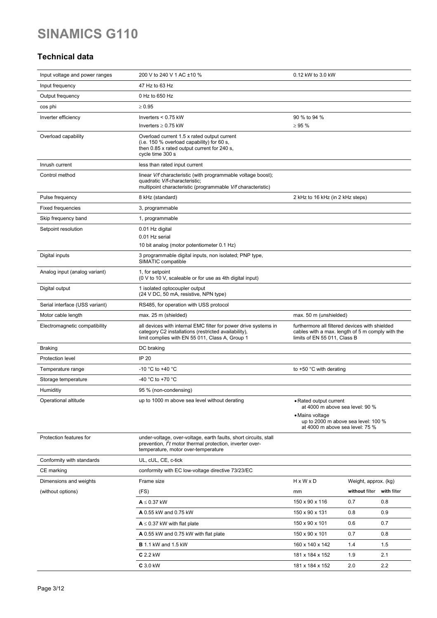# **Technical data**

| Input voltage and power ranges                  | 200 V to 240 V 1 AC ±10 %                                                                                                                                                           | 0.12 kW to 3.0 kW                                                                                                                                      |                            |            |
|-------------------------------------------------|-------------------------------------------------------------------------------------------------------------------------------------------------------------------------------------|--------------------------------------------------------------------------------------------------------------------------------------------------------|----------------------------|------------|
| Input frequency                                 | 47 Hz to 63 Hz                                                                                                                                                                      |                                                                                                                                                        |                            |            |
| Output frequency                                | 0 Hz to 650 Hz                                                                                                                                                                      |                                                                                                                                                        |                            |            |
| cos phi                                         | $\geq 0.95$                                                                                                                                                                         |                                                                                                                                                        |                            |            |
| Inverter efficiency                             | Inverters $< 0.75$ kW                                                                                                                                                               | 90 % to 94 %                                                                                                                                           |                            |            |
|                                                 | Inverters $\geq 0.75$ kW                                                                                                                                                            | $\geq 95 \%$                                                                                                                                           |                            |            |
| Overload capability                             | Overload current 1.5 x rated output current<br>(i.e. 150 % overload capability) for 60 s,<br>then 0.85 x rated output current for 240 s,<br>cycle time 300 s                        |                                                                                                                                                        |                            |            |
| Inrush current                                  | less than rated input current                                                                                                                                                       |                                                                                                                                                        |                            |            |
| Control method                                  | linear V/f characteristic (with programmable voltage boost);<br>quadratic V/f-characteristic;<br>multipoint characteristic (programmable V/f characteristic)                        |                                                                                                                                                        |                            |            |
| Pulse frequency                                 | 8 kHz (standard)                                                                                                                                                                    | 2 kHz to 16 kHz (in 2 kHz steps)                                                                                                                       |                            |            |
| <b>Fixed frequencies</b>                        | 3, programmable                                                                                                                                                                     |                                                                                                                                                        |                            |            |
| Skip frequency band                             | 1, programmable                                                                                                                                                                     |                                                                                                                                                        |                            |            |
| Setpoint resolution                             | 0.01 Hz digital                                                                                                                                                                     |                                                                                                                                                        |                            |            |
|                                                 | 0.01 Hz serial                                                                                                                                                                      |                                                                                                                                                        |                            |            |
|                                                 | 10 bit analog (motor potentiometer 0.1 Hz)<br>3 programmable digital inputs, non isolated; PNP type,                                                                                |                                                                                                                                                        |                            |            |
| Digital inputs                                  | SIMATIC compatible                                                                                                                                                                  |                                                                                                                                                        |                            |            |
| Analog input (analog variant)                   | 1, for setpoint<br>(0 V to 10 V, scaleable or for use as 4th digital input)                                                                                                         |                                                                                                                                                        |                            |            |
| Digital output                                  | 1 isolated optocoupler output<br>(24 V DC, 50 mA, resistive, NPN type)                                                                                                              |                                                                                                                                                        |                            |            |
| Serial interface (USS variant)                  | RS485, for operation with USS protocol                                                                                                                                              |                                                                                                                                                        |                            |            |
| Motor cable length                              | max. 25 m (shielded)                                                                                                                                                                | max. 50 m (unshielded)                                                                                                                                 |                            |            |
| Electromagnetic compatibility                   | all devices with internal EMC filter for power drive systems in<br>category C2 installations (restricted availability),<br>limit complies with EN 55 011, Class A, Group 1          | furthermore all filtered devices with shielded<br>cables with a max. length of 5 m comply with the<br>limits of EN 55 011, Class B                     |                            |            |
| <b>Braking</b>                                  | DC braking                                                                                                                                                                          |                                                                                                                                                        |                            |            |
| Protection level                                | <b>IP 20</b>                                                                                                                                                                        |                                                                                                                                                        |                            |            |
| Temperature range                               | -10 °C to +40 °C                                                                                                                                                                    | to $+50$ °C with derating                                                                                                                              |                            |            |
| Storage temperature                             | -40 °C to +70 °C                                                                                                                                                                    |                                                                                                                                                        |                            |            |
| Humiditiy                                       | 95 % (non-condensing)                                                                                                                                                               |                                                                                                                                                        |                            |            |
| Operational altitude<br>Protection features for | up to 1000 m above sea level without derating<br>under-voltage, over-voltage, earth faults, short circuits, stall<br>prevention, <i>If</i> motor thermal protection, inverter over- | • Rated output current<br>at 4000 m above sea level: 90 %<br>• Mains voltage<br>up to 2000 m above sea level: 100 %<br>at 4000 m above sea level: 75 % |                            |            |
| Conformity with standards                       | temperature, motor over-temperature<br>UL, cUL, CE, c-tick                                                                                                                          |                                                                                                                                                        |                            |            |
| CE marking                                      | conformity with EC low-voltage directive 73/23/EC                                                                                                                                   |                                                                                                                                                        |                            |            |
| Dimensions and weights                          | Frame size                                                                                                                                                                          | $H \times W \times D$                                                                                                                                  | Weight, approx. (kg)       |            |
| (without options)                               | (FS)                                                                                                                                                                                | mm                                                                                                                                                     | without filter with filter |            |
|                                                 | $A \leq 0.37$ kW                                                                                                                                                                    | 150 x 90 x 116                                                                                                                                         | 0.7                        | 0.8        |
|                                                 |                                                                                                                                                                                     |                                                                                                                                                        |                            |            |
|                                                 | <b>A</b> 0.55 kW and 0.75 kW                                                                                                                                                        | 150 x 90 x 131<br>150 x 90 x 101                                                                                                                       | 0.8<br>0.6                 | 0.9<br>0.7 |
|                                                 | $A \leq 0.37$ kW with flat plate                                                                                                                                                    |                                                                                                                                                        |                            |            |
|                                                 | A 0.55 kW and 0.75 kW with flat plate                                                                                                                                               | 150 x 90 x 101                                                                                                                                         | 0.7                        | 0.8        |
|                                                 | <b>B</b> 1.1 kW and 1.5 kW                                                                                                                                                          | 160 x 140 x 142                                                                                                                                        | 1.4                        | 1.5        |
|                                                 | $C$ 2.2 kW                                                                                                                                                                          | 181 x 184 x 152                                                                                                                                        | 1.9                        | 2.1        |
|                                                 | C 3.0 kW                                                                                                                                                                            | 181 x 184 x 152                                                                                                                                        | 2.0                        | 2.2        |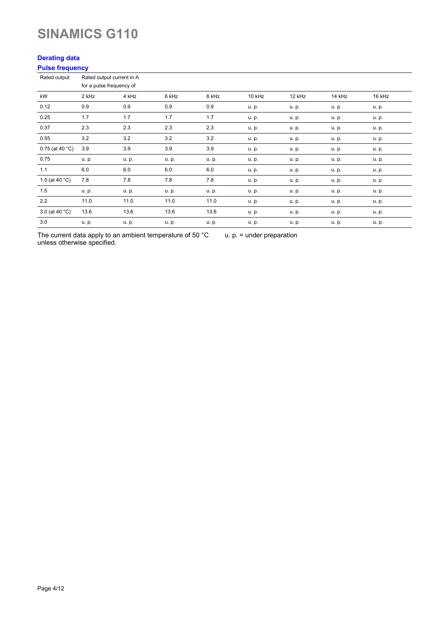### **Derating data Pulse frequency**

| <b><i>L</i></b> and a livelation |       |                                                       |       |       |        |        |        |        |
|----------------------------------|-------|-------------------------------------------------------|-------|-------|--------|--------|--------|--------|
| Rated output                     |       | Rated output current in A<br>for a pulse frequency of |       |       |        |        |        |        |
| kW                               | 2 kHz | 4 kHz                                                 | 6 kHz | 8 kHz | 10 kHz | 12 kHz | 14 kHz | 16 kHz |
| 0.12                             | 0.9   | 0.9                                                   | 0.9   | 0.9   | u. p.  | u. p.  | u. p.  | u. p.  |
| 0.25                             | 1.7   | 1.7                                                   | 1.7   | 1.7   | u. p.  | u. p.  | u. p.  | u. p.  |
| 0.37                             | 2.3   | 2.3                                                   | 2.3   | 2.3   | u. p.  | u. p.  | u. p.  | u. p.  |
| 0.55                             | 3.2   | 3.2                                                   | 3.2   | 3.2   | u. p.  | u. p.  | u. p.  | u. p.  |
| $0.75$ (at 40 °C)                | 3.9   | 3.9                                                   | 3.9   | 3.9   | u. p.  | u. p.  | u. p.  | u. p.  |
| 0.75                             | u. p. | u. p.                                                 | u. p. | u. p. | u. p.  | u. p.  | u. p.  | u. p.  |
| 1.1                              | 6.0   | 6.0                                                   | 6.0   | 6.0   | u. p.  | u. p.  | u. p.  | u. p.  |
| 1.5 (at 40 $^{\circ}$ C)         | 7.8   | 7.8                                                   | 7.8   | 7.8   | u. p.  | u. p.  | u. p.  | u. p.  |
| 1.5                              | u. p. | u. p.                                                 | u. p. | u. p. | u. p.  | u. p.  | u. p.  | u. p.  |
| 2.2                              | 11.0  | 11.0                                                  | 11.0  | 11.0  | u. p.  | u. p.  | u. p.  | u. p.  |
| 3.0 (at 40 °C)                   | 13.6  | 13.6                                                  | 13.6  | 13.6  | u. p.  | u. p.  | u. p.  | u. p.  |
| 3.0                              | u. p. | u. p.                                                 | u. p. | u. p. | u. p.  | u. p.  | u. p.  | u. p.  |

The current data apply to an ambient temperature of 50 °C unless otherwise specified. u. p. = under preparation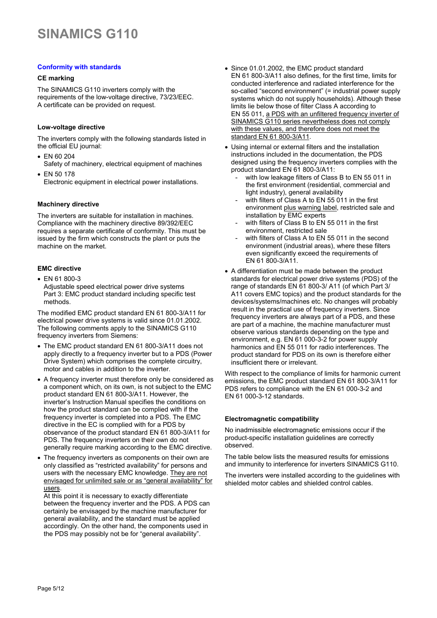### **Conformity with standards**

### **CE marking**

The SINAMICS G110 inverters comply with the requirements of the low-voltage directive, 73/23/EEC. A certificate can be provided on request.

### **Low-voltage directive**

The inverters comply with the following standards listed in the official EU journal:

- EN 60 204 Safety of machinery, electrical equipment of machines
- EN 50 178 Electronic equipment in electrical power installations.

#### **Machinery directive**

The inverters are suitable for installation in machines. Compliance with the machinery directive 89/392/EEC requires a separate certificate of conformity. This must be issued by the firm which constructs the plant or puts the machine on the market.

### **EMC directive**

• EN 61 800-3 Adjustable speed electrical power drive systems Part 3: EMC product standard including specific test methods.

The modified EMC product standard EN 61 800-3/A11 for electrical power drive systems is valid since 01.01.2002. The following comments apply to the SINAMICS G110 frequency inverters from Siemens:

- The EMC product standard EN 61 800-3/A11 does not apply directly to a frequency inverter but to a PDS (Power Drive System) which comprises the complete circuitry, motor and cables in addition to the inverter.
- A frequency inverter must therefore only be considered as a component which, on its own, is not subject to the EMC product standard EN 61 800-3/A11. However, the inverter's Instruction Manual specifies the conditions on how the product standard can be complied with if the frequency inverter is completed into a PDS. The EMC directive in the EC is complied with for a PDS by observance of the product standard EN 61 800-3/A11 for PDS. The frequency inverters on their own do not generally require marking according to the EMC directive.
- The frequency inverters as components on their own are only classified as "restricted availability" for persons and users with the necessary EMC knowledge. They are not envisaged for unlimited sale or as "general availability" for users.

At this point it is necessary to exactly differentiate between the frequency inverter and the PDS. A PDS can certainly be envisaged by the machine manufacturer for general availability, and the standard must be applied accordingly. On the other hand, the components used in the PDS may possibly not be for "general availability".

- Since 01.01.2002, the EMC product standard EN 61 800-3/A11 also defines, for the first time, limits for conducted interference and radiated interference for the so-called "second environment" (= industrial power supply systems which do not supply households). Although these limits lie below those of filter Class A according to EN 55 011, a PDS with an unfiltered frequency inverter of SINAMICS G110 series nevertheless does not comply with these values, and therefore does not meet the standard EN 61 800-3/A11.
- Using internal or external filters and the installation instructions included in the documentation, the PDS designed using the frequency inverters complies with the product standard EN 61 800-3/A11:
	- with low leakage filters of Class B to EN 55 011 in the first environment (residential, commercial and light industry), general availability
	- with filters of Class A to EN 55 011 in the first environment plus warning label, restricted sale and installation by EMC experts
	- with filters of Class B to  $FN$  55 011 in the first environment, restricted sale
	- with filters of Class A to EN 55 011 in the second environment (industrial areas), where these filters even significantly exceed the requirements of EN 61 800-3/A11.
- A differentiation must be made between the product standards for electrical power drive systems (PDS) of the range of standards EN 61 800-3/ A11 (of which Part 3/ A11 covers EMC topics) and the product standards for the devices/systems/machines etc. No changes will probably result in the practical use of frequency inverters. Since frequency inverters are always part of a PDS, and these are part of a machine, the machine manufacturer must observe various standards depending on the type and environment, e.g. EN 61 000-3-2 for power supply harmonics and EN 55 011 for radio interferences. The product standard for PDS on its own is therefore either insufficient there or irrelevant.

With respect to the compliance of limits for harmonic current emissions, the EMC product standard EN 61 800-3/A11 for PDS refers to compliance with the EN 61 000-3-2 and EN 61 000-3-12 standards.

#### **Electromagnetic compatibility**

No inadmissible electromagnetic emissions occur if the product-specific installation guidelines are correctly observed.

The table below lists the measured results for emissions and immunity to interference for inverters SINAMICS G110.

The inverters were installed according to the guidelines with shielded motor cables and shielded control cables.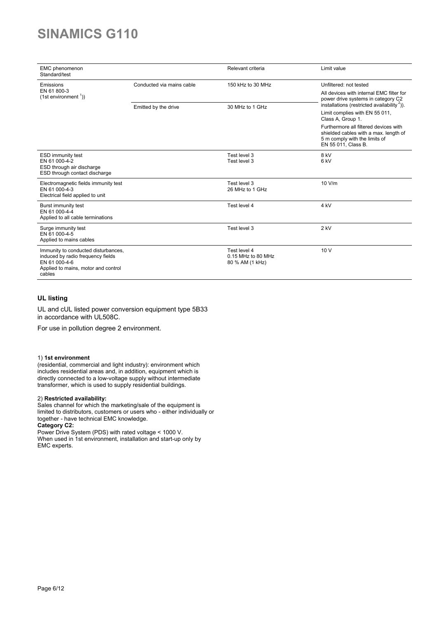| EMC phenomenon<br>Standard/test                                                                                                            |                           | Relevant criteria                                     | Limit value                                                                                                                                                                                      |  |
|--------------------------------------------------------------------------------------------------------------------------------------------|---------------------------|-------------------------------------------------------|--------------------------------------------------------------------------------------------------------------------------------------------------------------------------------------------------|--|
| Emissions                                                                                                                                  | Conducted via mains cable | 150 kHz to 30 MHz                                     | Unfiltered: not tested                                                                                                                                                                           |  |
| EN 61 800-3<br>$(1st$ environment $\binom{1}{1}$                                                                                           |                           |                                                       | All devices with internal EMC filter for<br>power drive systems in category C2<br>installations (restricted availability <sup>2</sup> )).<br>Limit complies with EN 55 011,<br>Class A, Group 1. |  |
|                                                                                                                                            | Emitted by the drive      | 30 MHz to 1 GHz                                       |                                                                                                                                                                                                  |  |
|                                                                                                                                            |                           |                                                       | Furthermore all filtered devices with<br>shielded cables with a max. length of<br>5 m comply with the limits of<br>EN 55 011, Class B.                                                           |  |
| <b>ESD immunity test</b><br>EN 61 000-4-2<br>ESD through air discharge<br>ESD through contact discharge                                    |                           | Test level 3<br>Test level 3                          | 8 kV<br>6 <sub>kV</sub>                                                                                                                                                                          |  |
| Electromagnetic fields immunity test<br>EN 61 000-4-3<br>Electrical field applied to unit                                                  |                           | Test level 3<br>26 MHz to 1 GHz                       | 10 V/m                                                                                                                                                                                           |  |
| Burst immunity test<br>EN 61 000-4-4<br>Applied to all cable terminations                                                                  |                           | Test level 4                                          | 4 <sub>kV</sub>                                                                                                                                                                                  |  |
| Surge immunity test<br>EN 61 000-4-5<br>Applied to mains cables                                                                            |                           | Test level 3                                          | $2$ kV                                                                                                                                                                                           |  |
| Immunity to conducted disturbances,<br>induced by radio frequency fields<br>EN 61 000-4-6<br>Applied to mains, motor and control<br>cables |                           | Test level 4<br>0.15 MHz to 80 MHz<br>80 % AM (1 kHz) | 10V                                                                                                                                                                                              |  |

### **UL listing**

UL and cUL listed power conversion equipment type 5B33 in accordance with UL508C.

For use in pollution degree 2 environment.

#### 1) **1st environment**

(residential, commercial and light industry): environment which includes residential areas and, in addition, equipment which is directly connected to a low-voltage supply without intermediate transformer, which is used to supply residential buildings.

### 2) **Restricted availability:**

Sales channel for which the marketing/sale of the equipment is limited to distributors, customers or users who - either individually or together - have technical EMC knowledge.

**Category C2:** Power Drive System (PDS) with rated voltage < 1000 V. When used in 1st environment, installation and start-up only by EMC experts.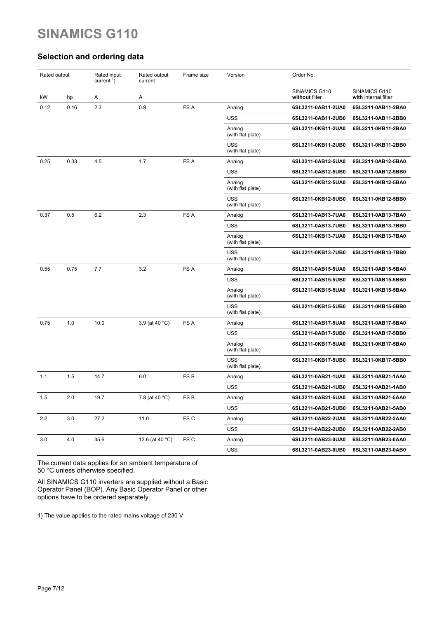# **Selection and ordering data**

| Rated output |      | Rated input<br>current $\frac{1}{1}$ ) | Rated output<br>current | Frame size      | Version                         | Order No.                       |                                       |
|--------------|------|----------------------------------------|-------------------------|-----------------|---------------------------------|---------------------------------|---------------------------------------|
| kW           | hp   | Α                                      | Α                       |                 |                                 | SINAMICS G110<br>without filter | SINAMICS G110<br>with internal filter |
| 0.12         | 0.16 | 2.3                                    | 0.9                     | FS A            | Analog                          | 6SL3211-0AB11-2UA0              | 6SL3211-0AB11-2BA0                    |
|              |      |                                        |                         |                 | <b>USS</b>                      | 6SL3211-0AB11-2UB0              | 6SL3211-0AB11-2BB0                    |
|              |      |                                        |                         |                 | Analog<br>(with flat plate)     | 6SL3211-0KB11-2UA0              | 6SL3211-0KB11-2BA0                    |
|              |      |                                        |                         |                 | <b>USS</b><br>(with flat plate) | 6SL3211-0KB11-2UB0              | 6SL3211-0KB11-2BB0                    |
| 0.25         | 0.33 | 4.5                                    | 1.7                     | FS A            | Analog                          | 6SL3211-0AB12-5UA0              | 6SL3211-0AB12-5BA0                    |
|              |      |                                        |                         |                 | <b>USS</b>                      | 6SL3211-0AB12-5UB0              | 6SL3211-0AB12-5BB0                    |
|              |      |                                        |                         |                 | Analog<br>(with flat plate)     | 6SL3211-0KB12-5UA0              | 6SL3211-0KB12-5BA0                    |
|              |      |                                        |                         |                 | <b>USS</b><br>(with flat plate) | 6SL3211-0KB12-5UB0              | 6SL3211-0KB12-5BB0                    |
| 0.37         | 0.5  | 6.2                                    | 2.3                     | FS A            | Analog                          | 6SL3211-0AB13-7UA0              | 6SL3211-0AB13-7BA0                    |
|              |      |                                        |                         |                 | USS                             | 6SL3211-0AB13-7UB0              | 6SL3211-0AB13-7BB0                    |
|              |      |                                        |                         |                 | Analog<br>(with flat plate)     | 6SL3211-0KB13-7UA0              | 6SL3211-0KB13-7BA0                    |
|              |      |                                        |                         |                 | <b>USS</b><br>(with flat plate) | 6SL3211-0KB13-7UB0              | 6SL3211-0KB13-7BB0                    |
| 0.55         | 0.75 | 7.7                                    | 3.2                     | FS A            | Analog                          | 6SL3211-0AB15-5UA0              | 6SL3211-0AB15-5BA0                    |
|              |      |                                        |                         |                 | <b>USS</b>                      | 6SL3211-0AB15-5UB0              | 6SL3211-0AB15-5BB0                    |
|              |      |                                        |                         |                 | Analog<br>(with flat plate)     | 6SL3211-0KB15-5UA0              | 6SL3211-0KB15-5BA0                    |
|              |      |                                        |                         |                 | <b>USS</b><br>(with flat plate) | 6SL3211-0KB15-5UB0              | 6SL3211-0KB15-5BB0                    |
| 0.75         | 1.0  | 10.0                                   | 3.9 (at 40 °C)          | FS A            | Analog                          | 6SL3211-0AB17-5UA0              | 6SL3211-0AB17-5BA0                    |
|              |      |                                        |                         |                 | USS                             | 6SL3211-0AB17-5UB0              | 6SL3211-0AB17-5BB0                    |
|              |      |                                        |                         |                 | Analog<br>(with flat plate)     | 6SL3211-0KB17-5UA0              | 6SL3211-0KB17-5BA0                    |
|              |      |                                        |                         |                 | <b>USS</b><br>(with flat plate) | 6SL3211-0KB17-5UB0              | 6SL3211-0KB17-5BB0                    |
| 1.1          | 1.5  | 14.7                                   | 6.0                     | FS <sub>B</sub> | Analog                          | 6SL3211-0AB21-1UA0              | 6SL3211-0AB21-1AA0                    |
|              |      |                                        |                         |                 | <b>USS</b>                      | 6SL3211-0AB21-1UB0              | 6SL3211-0AB21-1AB0                    |
| 1.5          | 2.0  | 19.7                                   | 7.8 (at 40 °C)          | FS <sub>B</sub> | Analog                          | 6SL3211-0AB21-5UA0              | 6SL3211-0AB21-5AA0                    |
|              |      |                                        |                         |                 | <b>USS</b>                      | 6SL3211-0AB21-5UB0              | 6SL3211-0AB21-5AB0                    |
| 2.2          | 3.0  | 27.2                                   | 11.0                    | FS C            | Analog                          | 6SL3211-0AB22-2UA0              | 6SL3211-0AB22-2AA0                    |
|              |      |                                        |                         |                 | <b>USS</b>                      | 6SL3211-0AB22-2UB0              | 6SL3211-0AB22-2AB0                    |
| 3.0          | 4.0  | 35.6                                   | 13.6 (at 40 °C)         | FS C            | Analog                          | 6SL3211-0AB23-0UA0              | 6SL3211-0AB23-0AA0                    |
|              |      |                                        |                         |                 | <b>USS</b>                      | 6SL3211-0AB23-0UB0              | 6SL3211-0AB23-0AB0                    |

The current data applies for an ambient temperature of 50 °C unless otherwise specified.

All SINAMICS G110 inverters are supplied without a Basic Operator Panel (BOP). Any Basic Operator Panel or other options have to be ordered separately.

1) The value applies to the rated mains voltage of 230 V.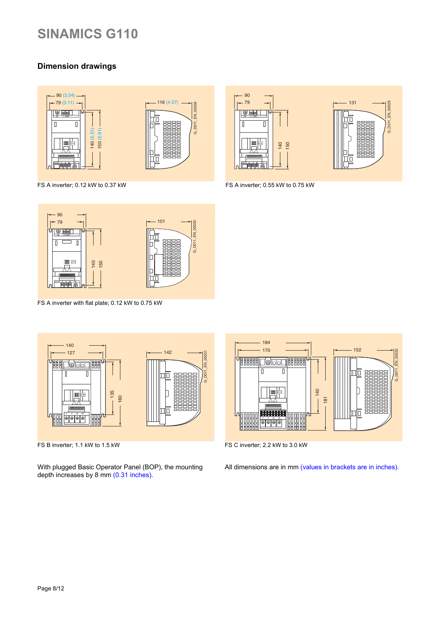# **Dimension drawings**



FS A inverter; 0.12 kW to 0.37 kW TO 0.37 kW FS A inverter; 0.55 kW to 0.75 kW







FS A inverter with flat plate; 0.12 kW to 0.75 kW



FS B inverter; 1.1 kW to 1.5 kW

With plugged Basic Operator Panel (BOP), the mounting depth increases by 8 mm (0.31 inches).



FS C inverter; 2.2 kW to 3.0 kW

All dimensions are in mm (values in brackets are in inches).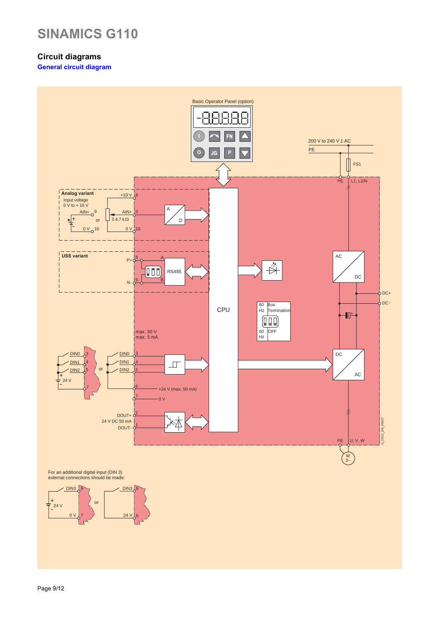# **Circuit diagrams**

**General circuit diagram** 



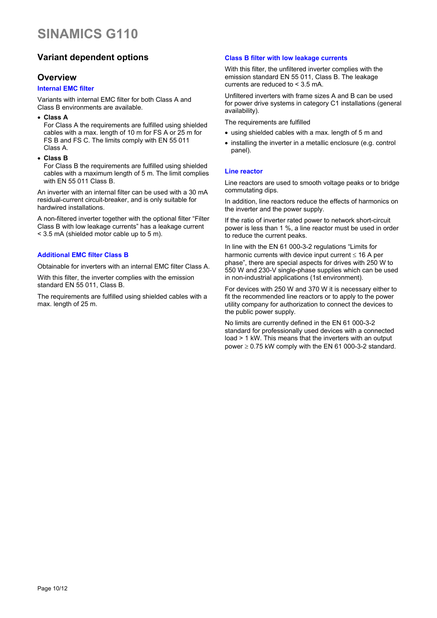# **Variant dependent options**

### **Overview**

### **Internal EMC filter**

Variants with internal EMC filter for both Class A and Class B environments are available.

• **Class A**

For Class A the requirements are fulfilled using shielded cables with a max. length of 10 m for FS A or 25 m for FS B and FS C. The limits comply with EN 55 011 Class A.

• **Class B**

For Class B the requirements are fulfilled using shielded cables with a maximum length of 5 m. The limit complies with EN 55 011 Class B.

An inverter with an internal filter can be used with a 30 mA residual-current circuit-breaker, and is only suitable for hardwired installations.

A non-filtered inverter together with the optional filter "Filter Class B with low leakage currents" has a leakage current < 3.5 mA (shielded motor cable up to 5 m).

### **Additional EMC filter Class B**

Obtainable for inverters with an internal EMC filter Class A.

With this filter, the inverter complies with the emission standard EN 55 011, Class B.

The requirements are fulfilled using shielded cables with a max. length of 25 m.

### **Class B filter with low leakage currents**

With this filter, the unfiltered inverter complies with the emission standard EN 55 011, Class B. The leakage currents are reduced to < 3.5 mA.

Unfiltered inverters with frame sizes A and B can be used for power drive systems in category C1 installations (general availability).

The requirements are fulfilled

- using shielded cables with a max. length of 5 m and
- installing the inverter in a metallic enclosure (e.g. control panel).

### **Line reactor**

Line reactors are used to smooth voltage peaks or to bridge commutating dips.

In addition, line reactors reduce the effects of harmonics on the inverter and the power supply.

If the ratio of inverter rated power to network short-circuit power is less than 1 %, a line reactor must be used in order to reduce the current peaks.

In line with the EN 61 000-3-2 regulations "Limits for harmonic currents with device input current  $\leq 16$  A per phase", there are special aspects for drives with 250 W to 550 W and 230-V single-phase supplies which can be used in non-industrial applications (1st environment).

For devices with 250 W and 370 W it is necessary either to fit the recommended line reactors or to apply to the power utility company for authorization to connect the devices to the public power supply.

No limits are currently defined in the EN 61 000-3-2 standard for professionally used devices with a connected load > 1 kW. This means that the inverters with an output power  $\geq$  0.75 kW comply with the EN 61 000-3-2 standard.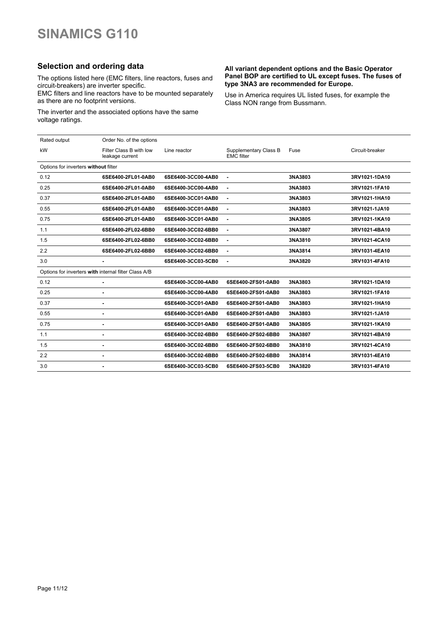## **Selection and ordering data**

The options listed here (EMC filters, line reactors, fuses and circuit-breakers) are inverter specific.

EMC filters and line reactors have to be mounted separately as there are no footprint versions.

The inverter and the associated options have the same voltage ratings.

#### **All variant dependent options and the Basic Operator Panel BOP are certified to UL except fuses. The fuses of type 3NA3 are recommended for Europe.**

Use in America requires UL listed fuses, for example the Class NON range from Bussmann.

| Rated output                                         | Order No. of the options                   |                    |                                            |         |                 |
|------------------------------------------------------|--------------------------------------------|--------------------|--------------------------------------------|---------|-----------------|
| kW                                                   | Filter Class B with low<br>leakage current | Line reactor       | Supplementary Class B<br><b>EMC</b> filter | Fuse    | Circuit-breaker |
| Options for inverters without filter                 |                                            |                    |                                            |         |                 |
| 0.12                                                 | 6SE6400-2FL01-0AB0                         | 6SE6400-3CC00-4AB0 | ä,                                         | 3NA3803 | 3RV1021-1DA10   |
| 0.25                                                 | 6SE6400-2FL01-0AB0                         | 6SE6400-3CC00-4AB0 | ä,                                         | 3NA3803 | 3RV1021-1FA10   |
| 0.37                                                 | 6SE6400-2FL01-0AB0                         | 6SE6400-3CC01-0AB0 | ä,                                         | 3NA3803 | 3RV1021-1HA10   |
| 0.55                                                 | 6SE6400-2FL01-0AB0                         | 6SE6400-3CC01-0AB0 | ä,                                         | 3NA3803 | 3RV1021-1JA10   |
| 0.75                                                 | 6SE6400-2FL01-0AB0                         | 6SE6400-3CC01-0AB0 | ä,                                         | 3NA3805 | 3RV1021-1KA10   |
| 1.1                                                  | 6SE6400-2FL02-6BB0                         | 6SE6400-3CC02-6BB0 |                                            | 3NA3807 | 3RV1021-4BA10   |
| 1.5                                                  | 6SE6400-2FL02-6BB0                         | 6SE6400-3CC02-6BB0 | ä,                                         | 3NA3810 | 3RV1021-4CA10   |
| 2.2                                                  | 6SE6400-2FL02-6BB0                         | 6SE6400-3CC02-6BB0 | ٠                                          | 3NA3814 | 3RV1031-4EA10   |
| 3.0                                                  |                                            | 6SE6400-3CC03-5CB0 | $\blacksquare$                             | 3NA3820 | 3RV1031-4FA10   |
| Options for inverters with internal filter Class A/B |                                            |                    |                                            |         |                 |
| 0.12                                                 | ٠                                          | 6SE6400-3CC00-4AB0 | 6SE6400-2FS01-0AB0                         | 3NA3803 | 3RV1021-1DA10   |
| 0.25                                                 | ٠                                          | 6SE6400-3CC00-4AB0 | 6SE6400-2FS01-0AB0                         | 3NA3803 | 3RV1021-1FA10   |
| 0.37                                                 | ÷                                          | 6SE6400-3CC01-0AB0 | 6SE6400-2FS01-0AB0                         | 3NA3803 | 3RV1021-1HA10   |
| 0.55                                                 | ٠                                          | 6SE6400-3CC01-0AB0 | 6SE6400-2FS01-0AB0                         | 3NA3803 | 3RV1021-1JA10   |
| 0.75                                                 | ä,                                         | 6SE6400-3CC01-0AB0 | 6SE6400-2FS01-0AB0                         | 3NA3805 | 3RV1021-1KA10   |
| 1.1                                                  | $\blacksquare$                             | 6SE6400-3CC02-6BB0 | 6SE6400-2FS02-6BB0                         | 3NA3807 | 3RV1021-4BA10   |
| 1.5                                                  | ٠                                          | 6SE6400-3CC02-6BB0 | 6SE6400-2FS02-6BB0                         | 3NA3810 | 3RV1021-4CA10   |
| 2.2                                                  | ٠                                          | 6SE6400-3CC02-6BB0 | 6SE6400-2FS02-6BB0                         | 3NA3814 | 3RV1031-4EA10   |
| 3.0                                                  |                                            | 6SE6400-3CC03-5CB0 | 6SE6400-2FS03-5CB0                         | 3NA3820 | 3RV1031-4FA10   |
|                                                      |                                            |                    |                                            |         |                 |